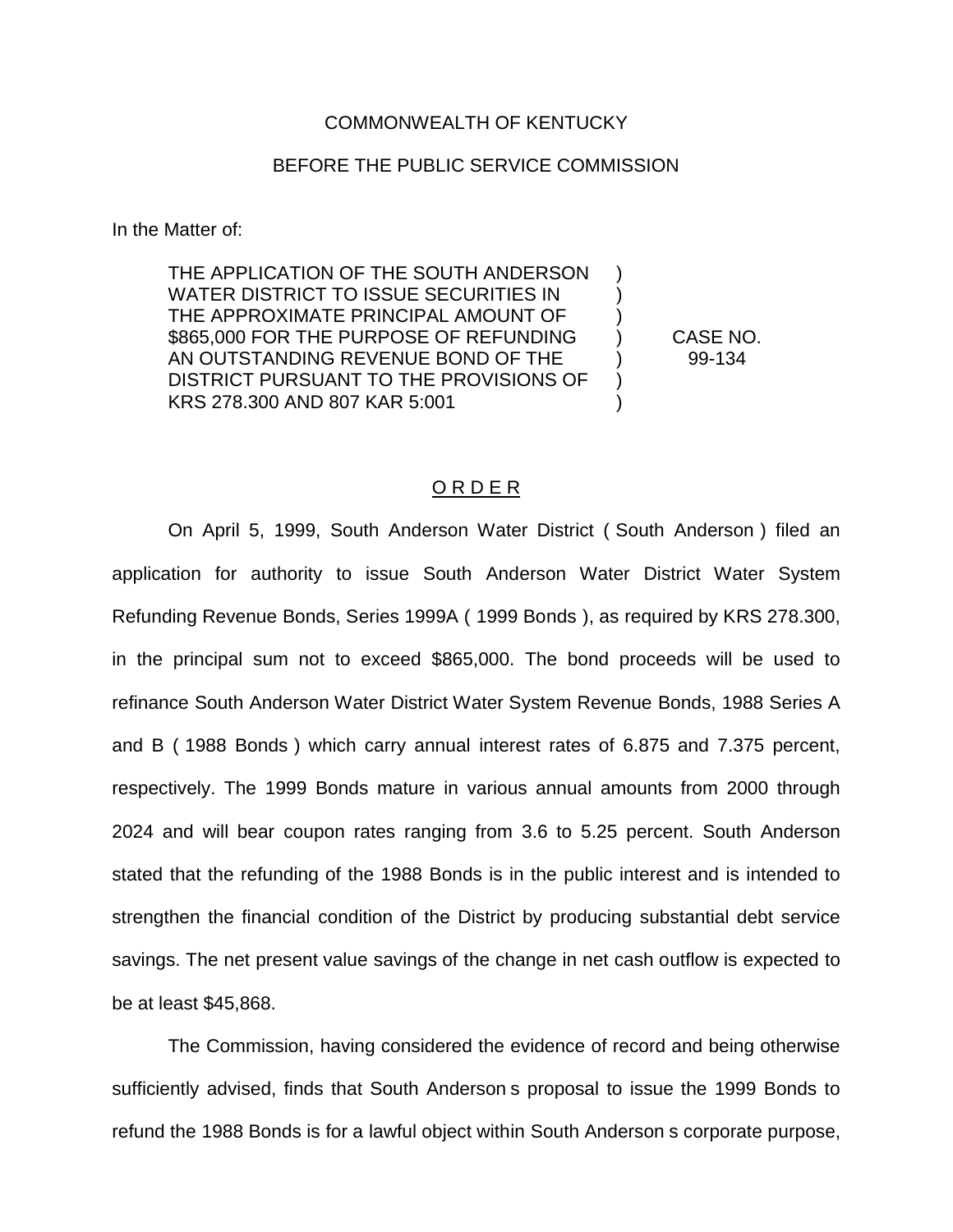## COMMONWEALTH OF KENTUCKY

## BEFORE THE PUBLIC SERVICE COMMISSION

In the Matter of:

THE APPLICATION OF THE SOUTH ANDERSON WATER DISTRICT TO ISSUE SECURITIES IN THE APPROXIMATE PRINCIPAL AMOUNT OF  $\qquad \qquad )$ \$865,000 FOR THE PURPOSE OF REFUNDING ) CASE NO. AN OUTSTANDING REVENUE BOND OF THE  $99-134$ DISTRICT PURSUANT TO THE PROVISIONS OF ) KRS 278.300 AND 807 KAR 5:001 (1995)

## O R D E R

On April 5, 1999, South Anderson Water District ( South Anderson ) filed an application for authority to issue South Anderson Water District Water System Refunding Revenue Bonds, Series 1999A ( 1999 Bonds ), as required by KRS 278.300, in the principal sum not to exceed \$865,000. The bond proceeds will be used to refinance South Anderson Water District Water System Revenue Bonds, 1988 Series A and B ( 1988 Bonds ) which carry annual interest rates of 6.875 and 7.375 percent, respectively. The 1999 Bonds mature in various annual amounts from 2000 through 2024 and will bear coupon rates ranging from 3.6 to 5.25 percent. South Anderson stated that the refunding of the 1988 Bonds is in the public interest and is intended to strengthen the financial condition of the District by producing substantial debt service savings. The net present value savings of the change in net cash outflow is expected to be at least \$45,868.

The Commission, having considered the evidence of record and being otherwise sufficiently advised, finds that South Anderson s proposal to issue the 1999 Bonds to refund the 1988 Bonds is for a lawful object within South Anderson s corporate purpose,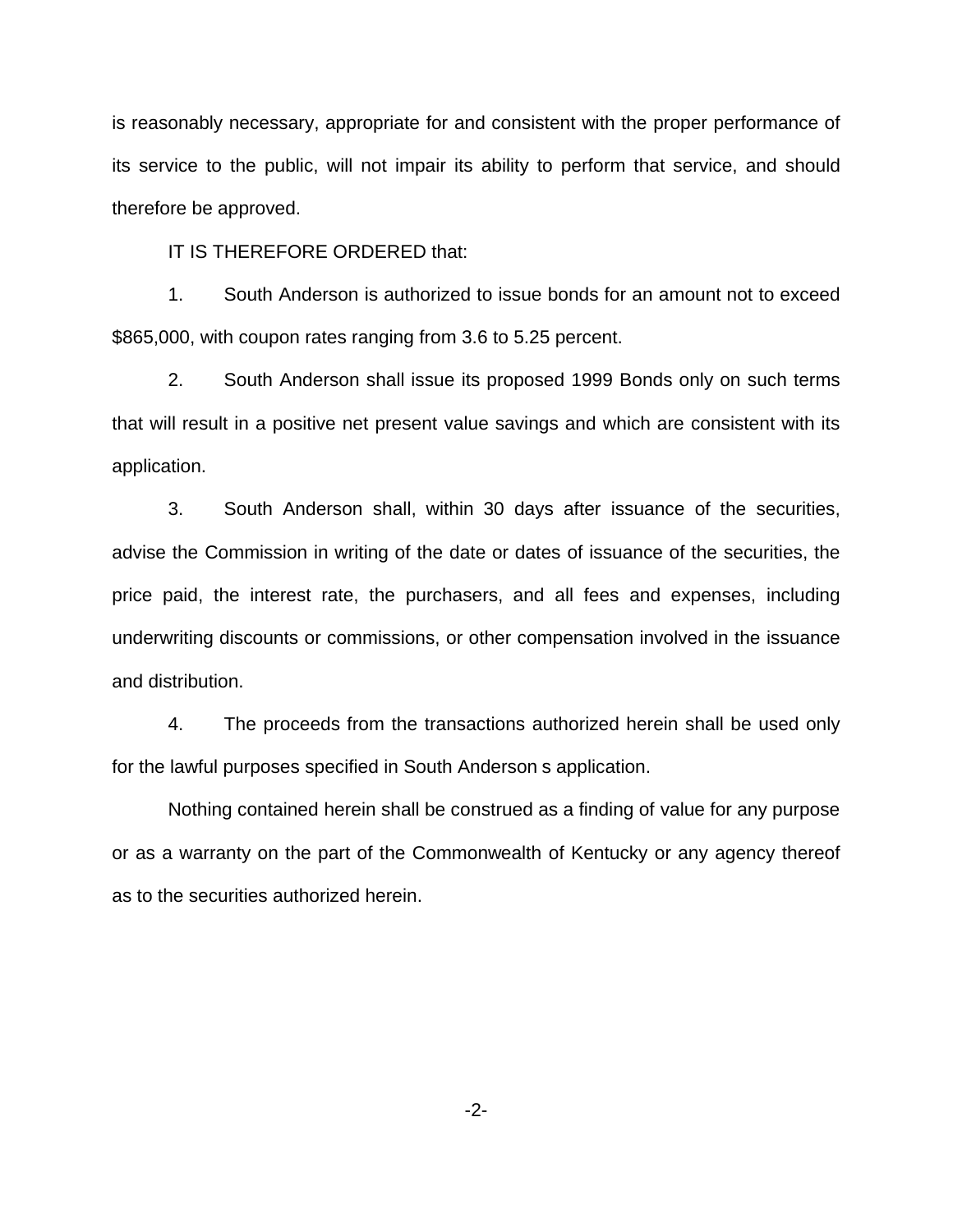is reasonably necessary, appropriate for and consistent with the proper performance of its service to the public, will not impair its ability to perform that service, and should therefore be approved.

IT IS THEREFORE ORDERED that:

1. South Anderson is authorized to issue bonds for an amount not to exceed \$865,000, with coupon rates ranging from 3.6 to 5.25 percent.

2. South Anderson shall issue its proposed 1999 Bonds only on such terms that will result in a positive net present value savings and which are consistent with its application.

3. South Anderson shall, within 30 days after issuance of the securities, advise the Commission in writing of the date or dates of issuance of the securities, the price paid, the interest rate, the purchasers, and all fees and expenses, including underwriting discounts or commissions, or other compensation involved in the issuance and distribution.

4. The proceeds from the transactions authorized herein shall be used only for the lawful purposes specified in South Anderson s application.

Nothing contained herein shall be construed as a finding of value for any purpose or as a warranty on the part of the Commonwealth of Kentucky or any agency thereof as to the securities authorized herein.

-2-